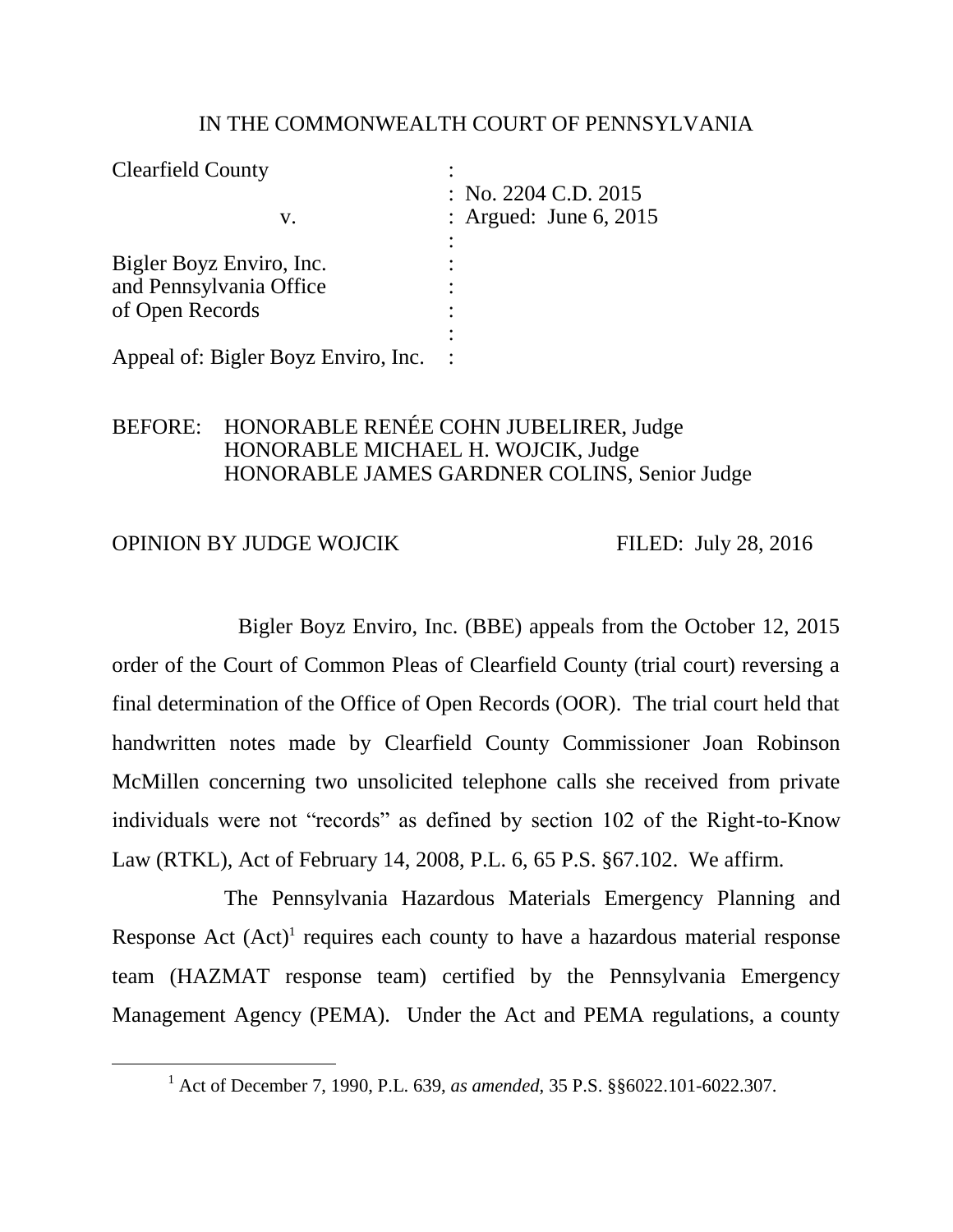#### IN THE COMMONWEALTH COURT OF PENNSYLVANIA

| <b>Clearfield County</b>            |                                                  |
|-------------------------------------|--------------------------------------------------|
| V.                                  | : No. 2204 C.D. 2015<br>: Argued: June $6, 2015$ |
|                                     |                                                  |
| Bigler Boyz Enviro, Inc.            |                                                  |
| and Pennsylvania Office             |                                                  |
| of Open Records                     |                                                  |
|                                     |                                                  |
| Appeal of: Bigler Boyz Enviro, Inc. |                                                  |

## BEFORE: HONORABLE RENÉE COHN JUBELIRER, Judge HONORABLE MICHAEL H. WOJCIK, Judge HONORABLE JAMES GARDNER COLINS, Senior Judge

#### OPINION BY JUDGE WOJCIK FILED: July 28, 2016

 $\overline{a}$ 

Bigler Boyz Enviro, Inc. (BBE) appeals from the October 12, 2015 order of the Court of Common Pleas of Clearfield County (trial court) reversing a final determination of the Office of Open Records (OOR). The trial court held that handwritten notes made by Clearfield County Commissioner Joan Robinson McMillen concerning two unsolicited telephone calls she received from private individuals were not "records" as defined by section 102 of the Right-to-Know Law (RTKL), Act of February 14, 2008, P.L. 6, 65 P.S. §67.102. We affirm.

The Pennsylvania Hazardous Materials Emergency Planning and Response Act  $(Act)^1$  requires each county to have a hazardous material response team (HAZMAT response team) certified by the Pennsylvania Emergency Management Agency (PEMA). Under the Act and PEMA regulations, a county

<sup>1</sup> Act of December 7, 1990, P.L. 639, *as amended*, 35 P.S. §§6022.101-6022.307.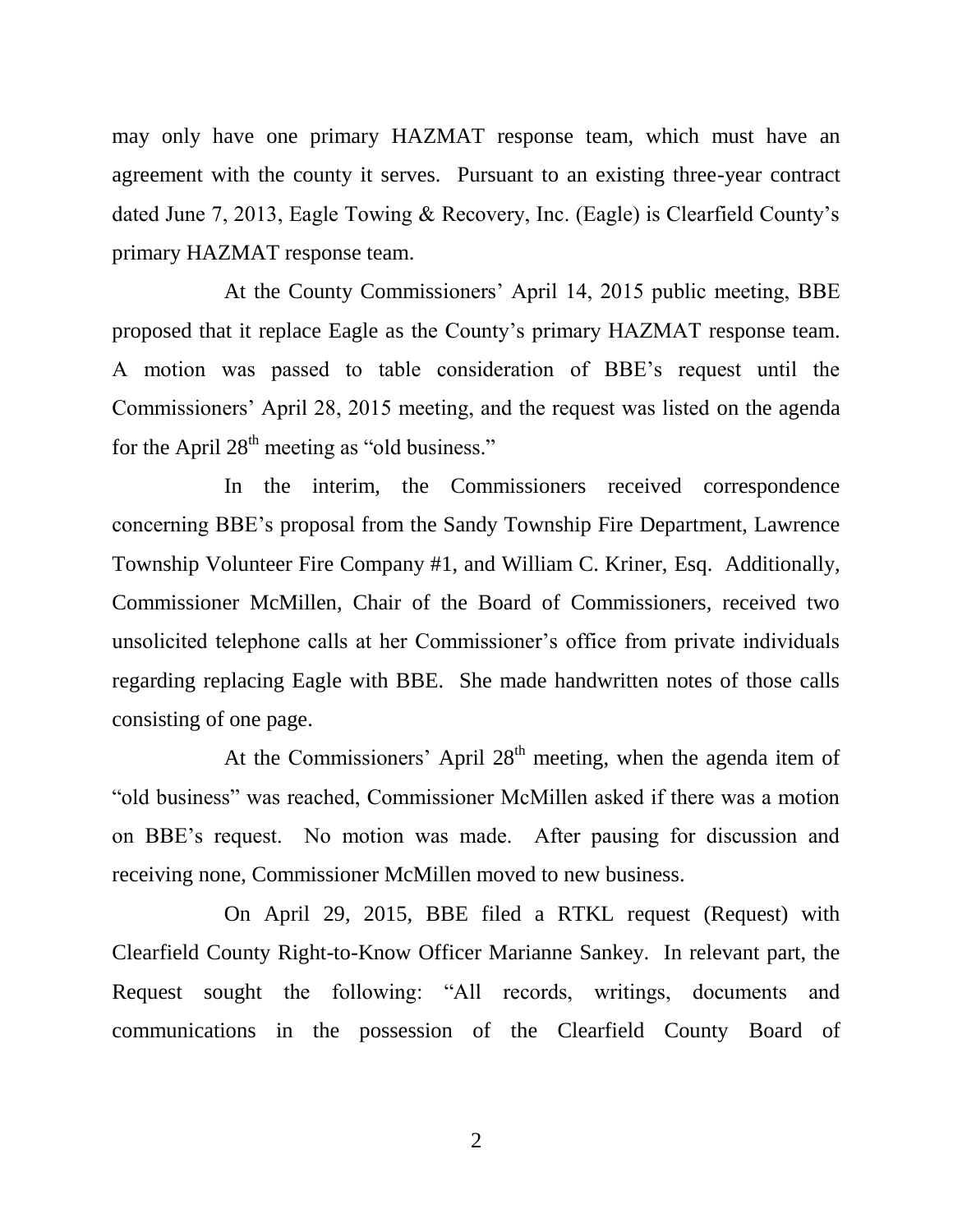may only have one primary HAZMAT response team, which must have an agreement with the county it serves. Pursuant to an existing three-year contract dated June 7, 2013, Eagle Towing & Recovery, Inc. (Eagle) is Clearfield County's primary HAZMAT response team.

At the County Commissioners' April 14, 2015 public meeting, BBE proposed that it replace Eagle as the County's primary HAZMAT response team. A motion was passed to table consideration of BBE's request until the Commissioners' April 28, 2015 meeting, and the request was listed on the agenda for the April  $28<sup>th</sup>$  meeting as "old business."

In the interim, the Commissioners received correspondence concerning BBE's proposal from the Sandy Township Fire Department, Lawrence Township Volunteer Fire Company #1, and William C. Kriner, Esq. Additionally, Commissioner McMillen, Chair of the Board of Commissioners, received two unsolicited telephone calls at her Commissioner's office from private individuals regarding replacing Eagle with BBE. She made handwritten notes of those calls consisting of one page.

At the Commissioners' April  $28<sup>th</sup>$  meeting, when the agenda item of "old business" was reached, Commissioner McMillen asked if there was a motion on BBE's request. No motion was made. After pausing for discussion and receiving none, Commissioner McMillen moved to new business.

On April 29, 2015, BBE filed a RTKL request (Request) with Clearfield County Right-to-Know Officer Marianne Sankey. In relevant part, the Request sought the following: "All records, writings, documents and communications in the possession of the Clearfield County Board of

2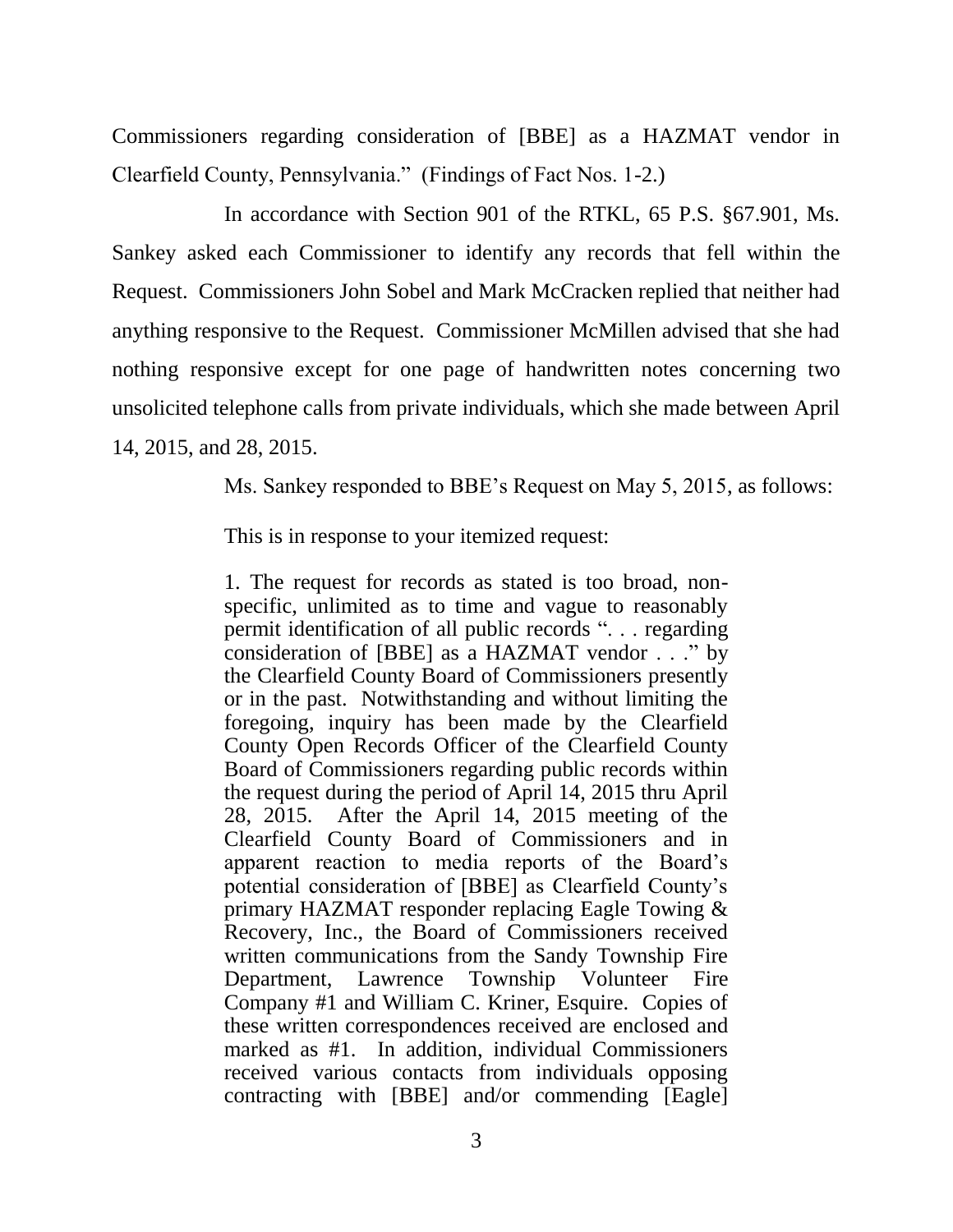Commissioners regarding consideration of [BBE] as a HAZMAT vendor in Clearfield County, Pennsylvania." (Findings of Fact Nos. 1-2.)

In accordance with Section 901 of the RTKL, 65 P.S. §67.901, Ms. Sankey asked each Commissioner to identify any records that fell within the Request. Commissioners John Sobel and Mark McCracken replied that neither had anything responsive to the Request. Commissioner McMillen advised that she had nothing responsive except for one page of handwritten notes concerning two unsolicited telephone calls from private individuals, which she made between April 14, 2015, and 28, 2015.

Ms. Sankey responded to BBE's Request on May 5, 2015, as follows:

This is in response to your itemized request:

1. The request for records as stated is too broad, nonspecific, unlimited as to time and vague to reasonably permit identification of all public records ". . . regarding consideration of [BBE] as a HAZMAT vendor . . ." by the Clearfield County Board of Commissioners presently or in the past. Notwithstanding and without limiting the foregoing, inquiry has been made by the Clearfield County Open Records Officer of the Clearfield County Board of Commissioners regarding public records within the request during the period of April 14, 2015 thru April 28, 2015. After the April 14, 2015 meeting of the Clearfield County Board of Commissioners and in apparent reaction to media reports of the Board's potential consideration of [BBE] as Clearfield County's primary HAZMAT responder replacing Eagle Towing & Recovery, Inc., the Board of Commissioners received written communications from the Sandy Township Fire Department, Lawrence Township Volunteer Fire Company #1 and William C. Kriner, Esquire. Copies of these written correspondences received are enclosed and marked as #1. In addition, individual Commissioners received various contacts from individuals opposing contracting with [BBE] and/or commending [Eagle]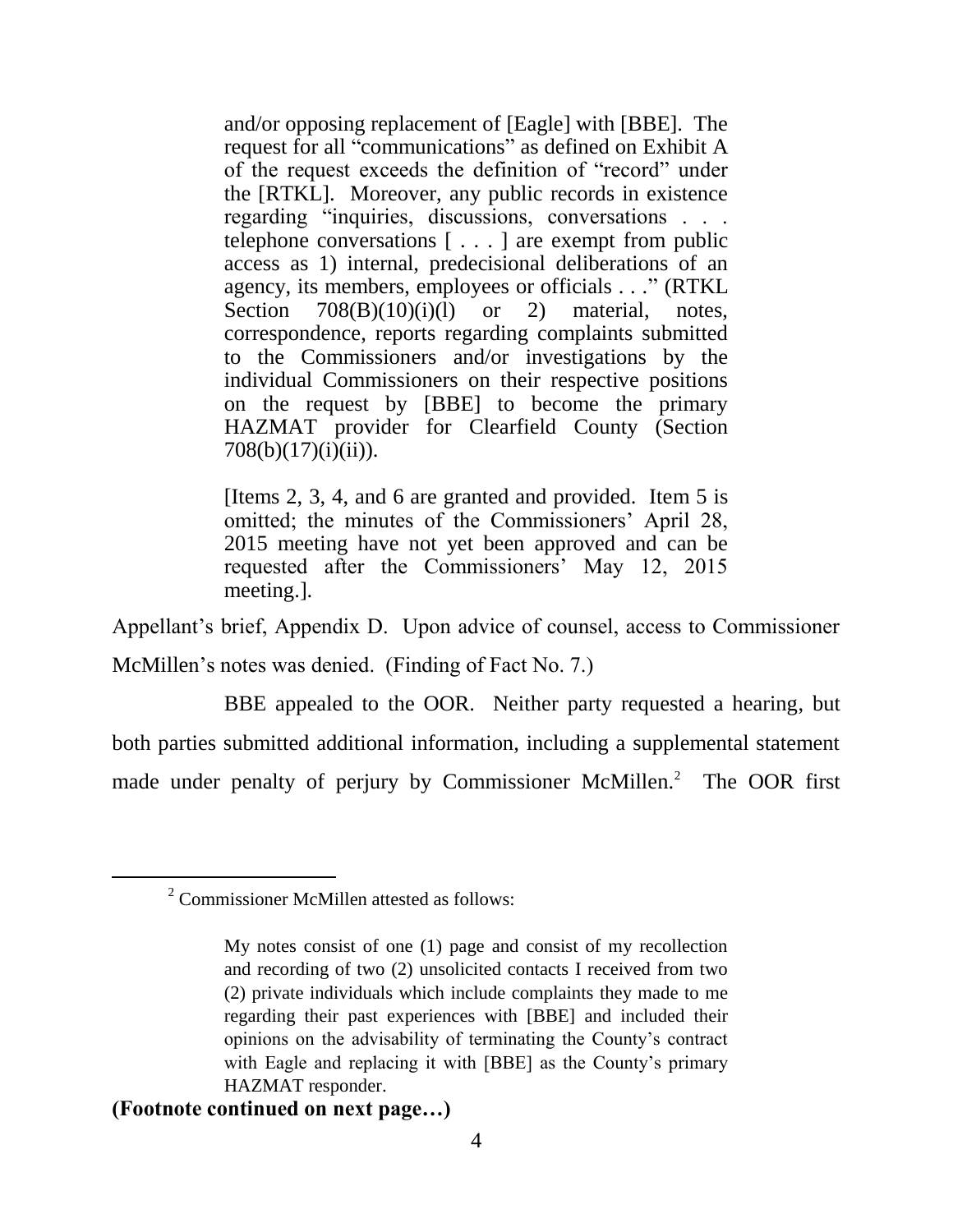and/or opposing replacement of [Eagle] with [BBE]. The request for all "communications" as defined on Exhibit A of the request exceeds the definition of "record" under the [RTKL]. Moreover, any public records in existence regarding "inquiries, discussions, conversations . . . telephone conversations [ . . . ] are exempt from public access as 1) internal, predecisional deliberations of an agency, its members, employees or officials . . ." (RTKL Section  $708(B)(10)(i)(l)$  or 2) material, notes, correspondence, reports regarding complaints submitted to the Commissioners and/or investigations by the individual Commissioners on their respective positions on the request by [BBE] to become the primary HAZMAT provider for Clearfield County (Section 708(b)(17)(i)(ii)).

[Items 2, 3, 4, and 6 are granted and provided. Item 5 is omitted; the minutes of the Commissioners' April 28, 2015 meeting have not yet been approved and can be requested after the Commissioners' May 12, 2015 meeting.].

Appellant's brief, Appendix D. Upon advice of counsel, access to Commissioner McMillen's notes was denied. (Finding of Fact No. 7.)

BBE appealed to the OOR. Neither party requested a hearing, but both parties submitted additional information, including a supplemental statement made under penalty of perjury by Commissioner McMillen.<sup>2</sup> The OOR first

### **(Footnote continued on next page…)**

 $\overline{a}$ 

<sup>2</sup> Commissioner McMillen attested as follows:

My notes consist of one (1) page and consist of my recollection and recording of two (2) unsolicited contacts I received from two (2) private individuals which include complaints they made to me regarding their past experiences with [BBE] and included their opinions on the advisability of terminating the County's contract with Eagle and replacing it with [BBE] as the County's primary HAZMAT responder.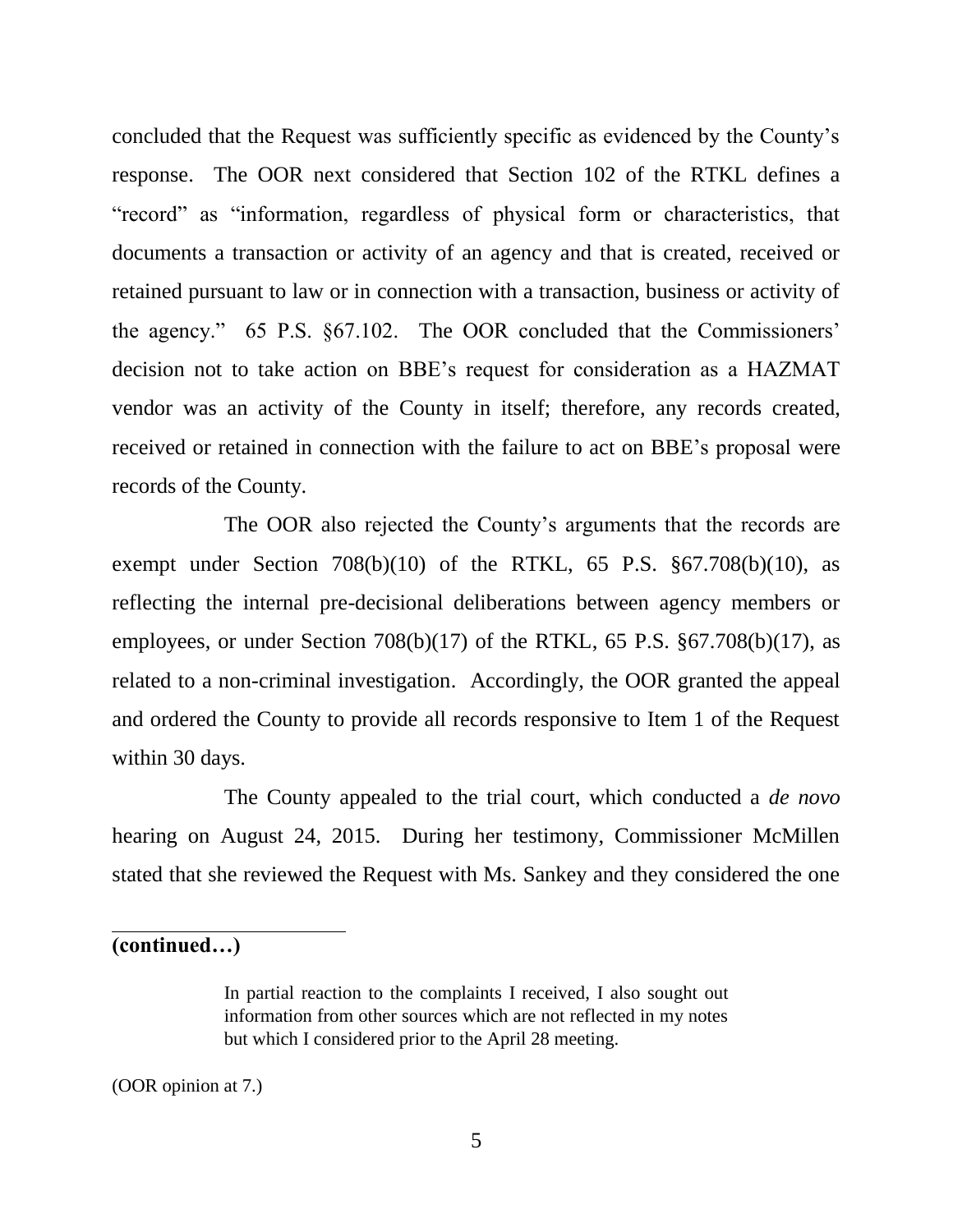concluded that the Request was sufficiently specific as evidenced by the County's response. The OOR next considered that Section 102 of the RTKL defines a "record" as "information, regardless of physical form or characteristics, that documents a transaction or activity of an agency and that is created, received or retained pursuant to law or in connection with a transaction, business or activity of the agency." 65 P.S. §67.102. The OOR concluded that the Commissioners' decision not to take action on BBE's request for consideration as a HAZMAT vendor was an activity of the County in itself; therefore, any records created, received or retained in connection with the failure to act on BBE's proposal were records of the County.

The OOR also rejected the County's arguments that the records are exempt under Section  $708(b)(10)$  of the RTKL, 65 P.S.  $\S67.708(b)(10)$ , as reflecting the internal pre-decisional deliberations between agency members or employees, or under Section  $708(b)(17)$  of the RTKL, 65 P.S.  $\S67.708(b)(17)$ , as related to a non-criminal investigation. Accordingly, the OOR granted the appeal and ordered the County to provide all records responsive to Item 1 of the Request within 30 days.

The County appealed to the trial court, which conducted a *de novo* hearing on August 24, 2015. During her testimony, Commissioner McMillen stated that she reviewed the Request with Ms. Sankey and they considered the one

**(continued…)**

(OOR opinion at 7.)

In partial reaction to the complaints I received, I also sought out information from other sources which are not reflected in my notes but which I considered prior to the April 28 meeting.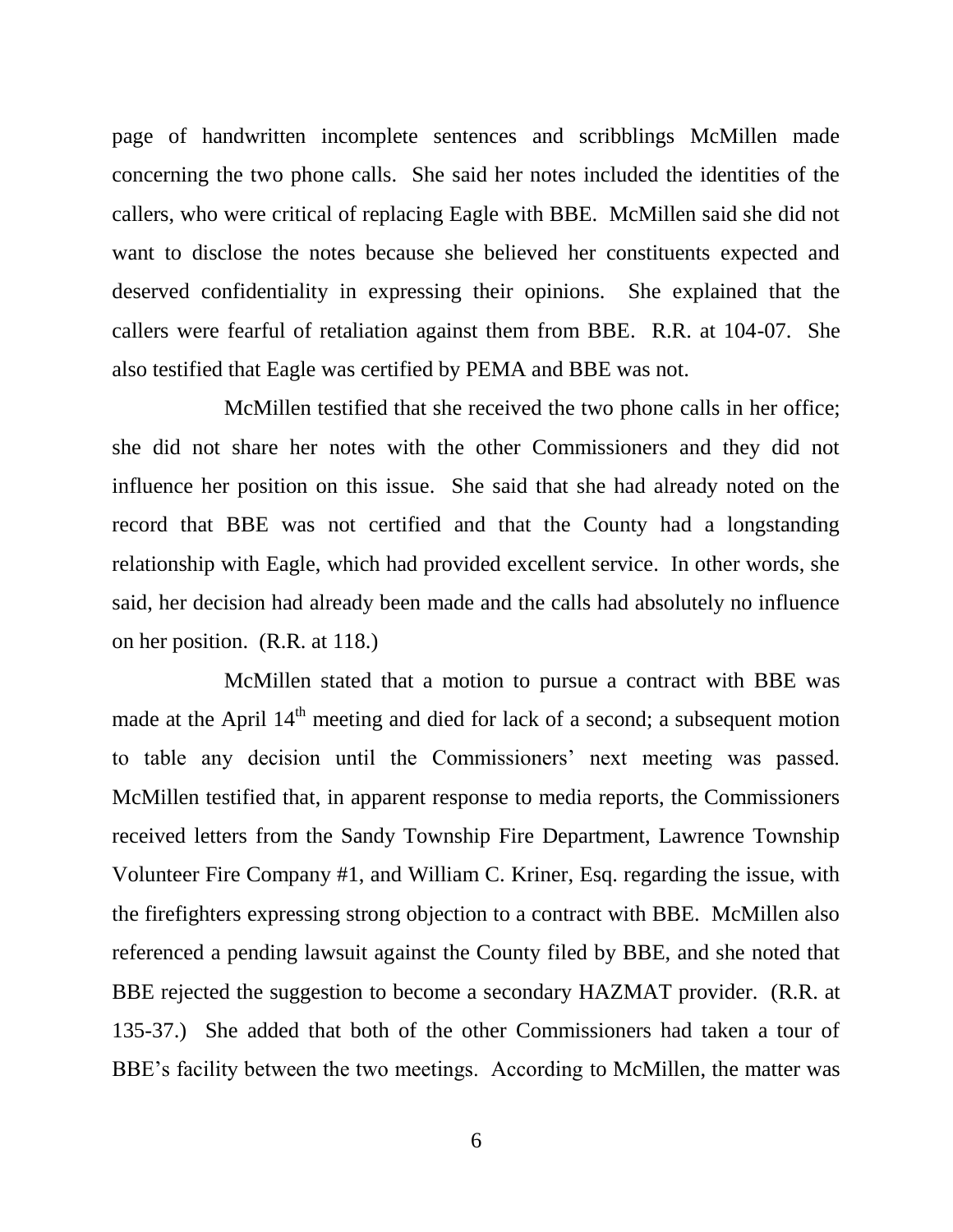page of handwritten incomplete sentences and scribblings McMillen made concerning the two phone calls. She said her notes included the identities of the callers, who were critical of replacing Eagle with BBE. McMillen said she did not want to disclose the notes because she believed her constituents expected and deserved confidentiality in expressing their opinions. She explained that the callers were fearful of retaliation against them from BBE. R.R. at 104-07. She also testified that Eagle was certified by PEMA and BBE was not.

McMillen testified that she received the two phone calls in her office; she did not share her notes with the other Commissioners and they did not influence her position on this issue. She said that she had already noted on the record that BBE was not certified and that the County had a longstanding relationship with Eagle, which had provided excellent service. In other words, she said, her decision had already been made and the calls had absolutely no influence on her position. (R.R. at 118.)

McMillen stated that a motion to pursue a contract with BBE was made at the April  $14<sup>th</sup>$  meeting and died for lack of a second; a subsequent motion to table any decision until the Commissioners' next meeting was passed. McMillen testified that, in apparent response to media reports, the Commissioners received letters from the Sandy Township Fire Department, Lawrence Township Volunteer Fire Company #1, and William C. Kriner, Esq. regarding the issue, with the firefighters expressing strong objection to a contract with BBE. McMillen also referenced a pending lawsuit against the County filed by BBE, and she noted that BBE rejected the suggestion to become a secondary HAZMAT provider. (R.R. at 135-37.) She added that both of the other Commissioners had taken a tour of BBE's facility between the two meetings. According to McMillen, the matter was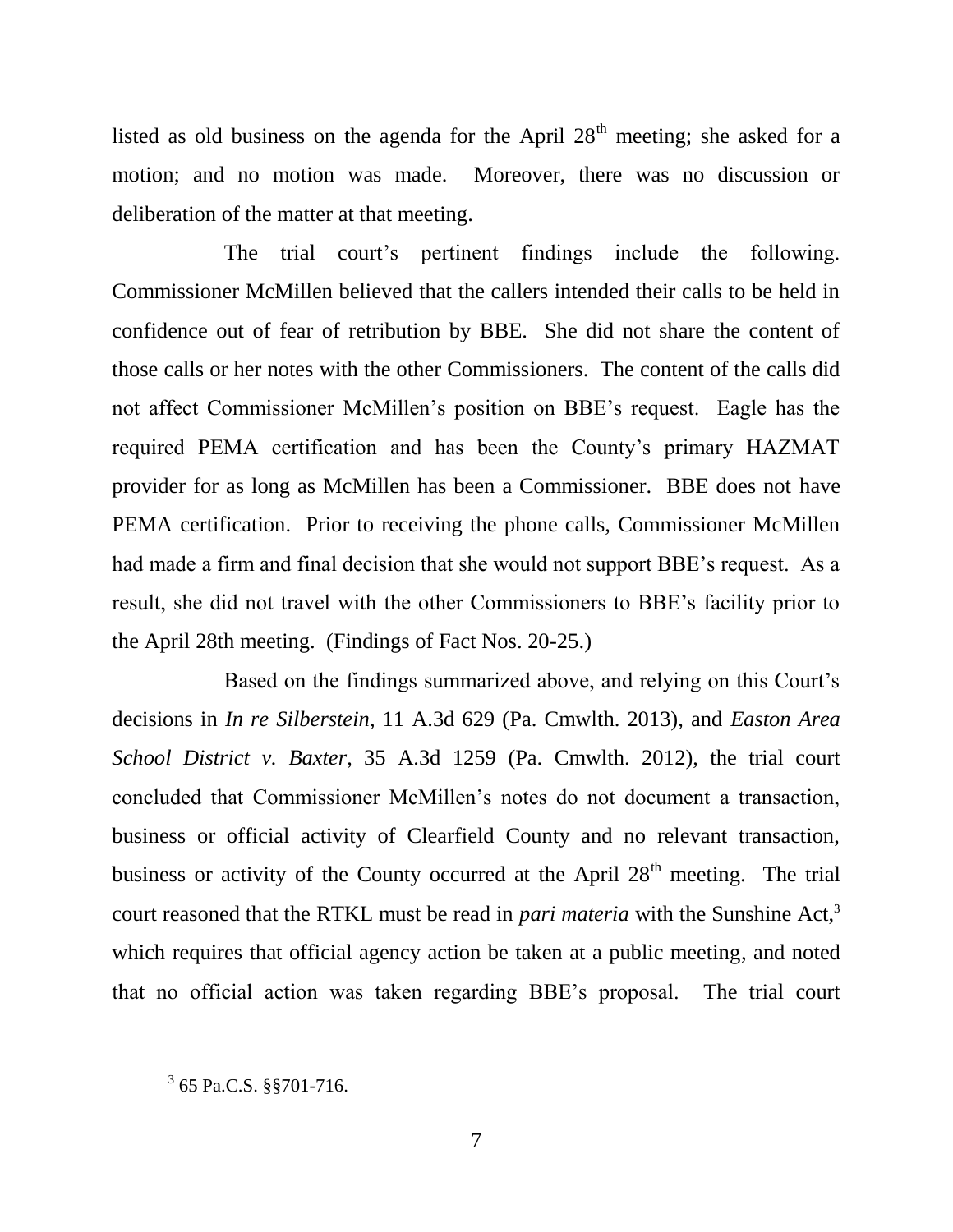listed as old business on the agenda for the April  $28<sup>th</sup>$  meeting; she asked for a motion; and no motion was made. Moreover, there was no discussion or deliberation of the matter at that meeting.

The trial court's pertinent findings include the following. Commissioner McMillen believed that the callers intended their calls to be held in confidence out of fear of retribution by BBE. She did not share the content of those calls or her notes with the other Commissioners. The content of the calls did not affect Commissioner McMillen's position on BBE's request. Eagle has the required PEMA certification and has been the County's primary HAZMAT provider for as long as McMillen has been a Commissioner. BBE does not have PEMA certification. Prior to receiving the phone calls, Commissioner McMillen had made a firm and final decision that she would not support BBE's request. As a result, she did not travel with the other Commissioners to BBE's facility prior to the April 28th meeting. (Findings of Fact Nos. 20-25.)

Based on the findings summarized above, and relying on this Court's decisions in *In re Silberstein*, 11 A.3d 629 (Pa. Cmwlth. 2013), and *Easton Area School District v. Baxter*, 35 A.3d 1259 (Pa. Cmwlth. 2012), the trial court concluded that Commissioner McMillen's notes do not document a transaction, business or official activity of Clearfield County and no relevant transaction, business or activity of the County occurred at the April  $28<sup>th</sup>$  meeting. The trial court reasoned that the RTKL must be read in *pari materia* with the Sunshine Act,<sup>3</sup> which requires that official agency action be taken at a public meeting, and noted that no official action was taken regarding BBE's proposal. The trial court

 $\overline{a}$ 

 $3$  65 Pa.C.S.  $\S$ §701-716.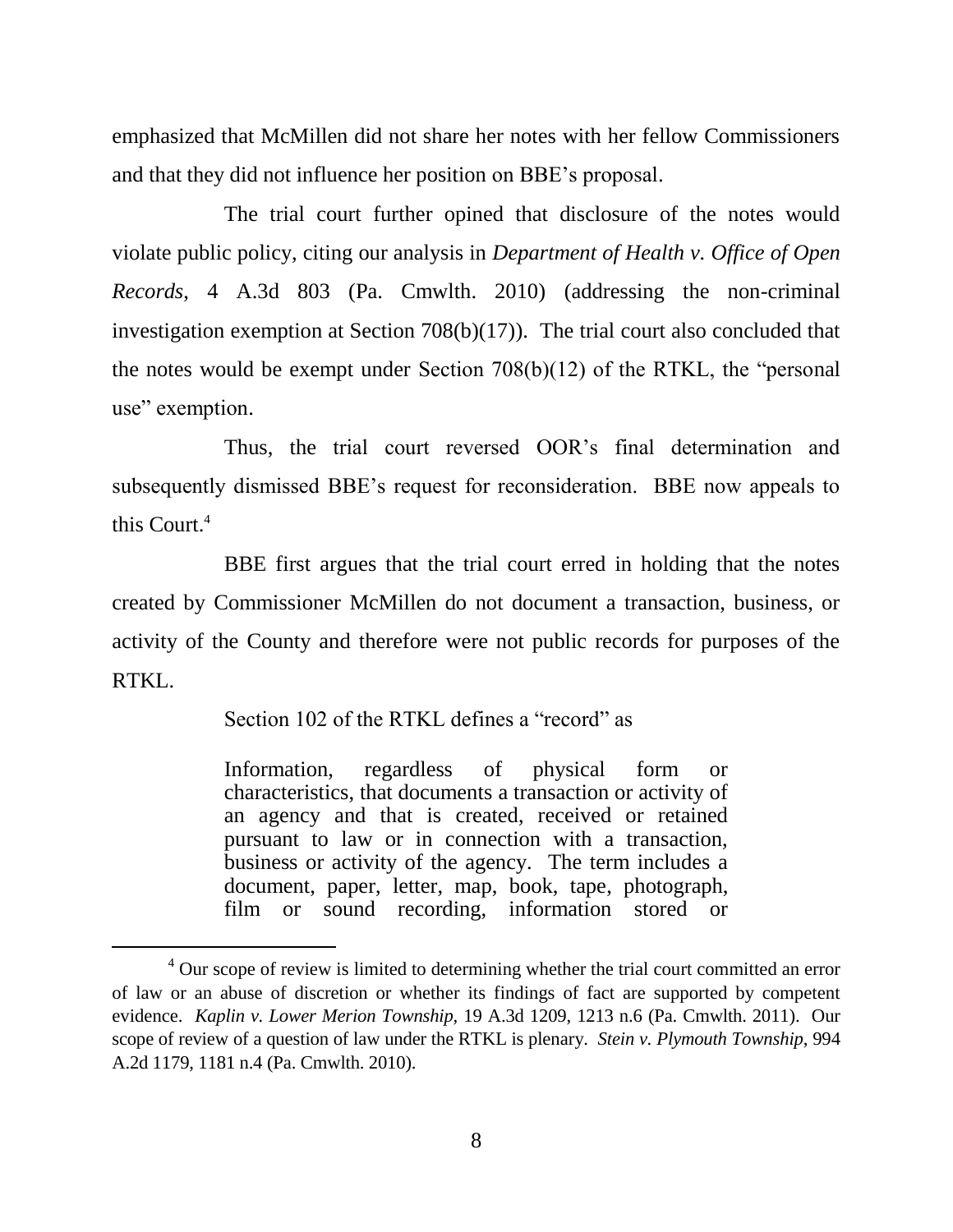emphasized that McMillen did not share her notes with her fellow Commissioners and that they did not influence her position on BBE's proposal.

The trial court further opined that disclosure of the notes would violate public policy, citing our analysis in *Department of Health v. Office of Open Records*, 4 A.3d 803 (Pa. Cmwlth. 2010) (addressing the non-criminal investigation exemption at Section 708(b)(17)). The trial court also concluded that the notes would be exempt under Section 708(b)(12) of the RTKL, the "personal use" exemption.

Thus, the trial court reversed OOR's final determination and subsequently dismissed BBE's request for reconsideration. BBE now appeals to this Court.<sup>4</sup>

BBE first argues that the trial court erred in holding that the notes created by Commissioner McMillen do not document a transaction, business, or activity of the County and therefore were not public records for purposes of the RTKL.

Section 102 of the RTKL defines a "record" as

 $\overline{a}$ 

Information, regardless of physical form or characteristics, that documents a transaction or activity of an agency and that is created, received or retained pursuant to law or in connection with a transaction, business or activity of the agency. The term includes a document, paper, letter, map, book, tape, photograph, film or sound recording, information stored or

<sup>4</sup> Our scope of review is limited to determining whether the trial court committed an error of law or an abuse of discretion or whether its findings of fact are supported by competent evidence. *Kaplin v. Lower Merion Township,* 19 A.3d 1209, 1213 n.6 (Pa. Cmwlth. 2011). Our scope of review of a question of law under the RTKL is plenary. *Stein v. Plymouth Township*, 994 A.2d 1179, 1181 n.4 (Pa. Cmwlth. 2010).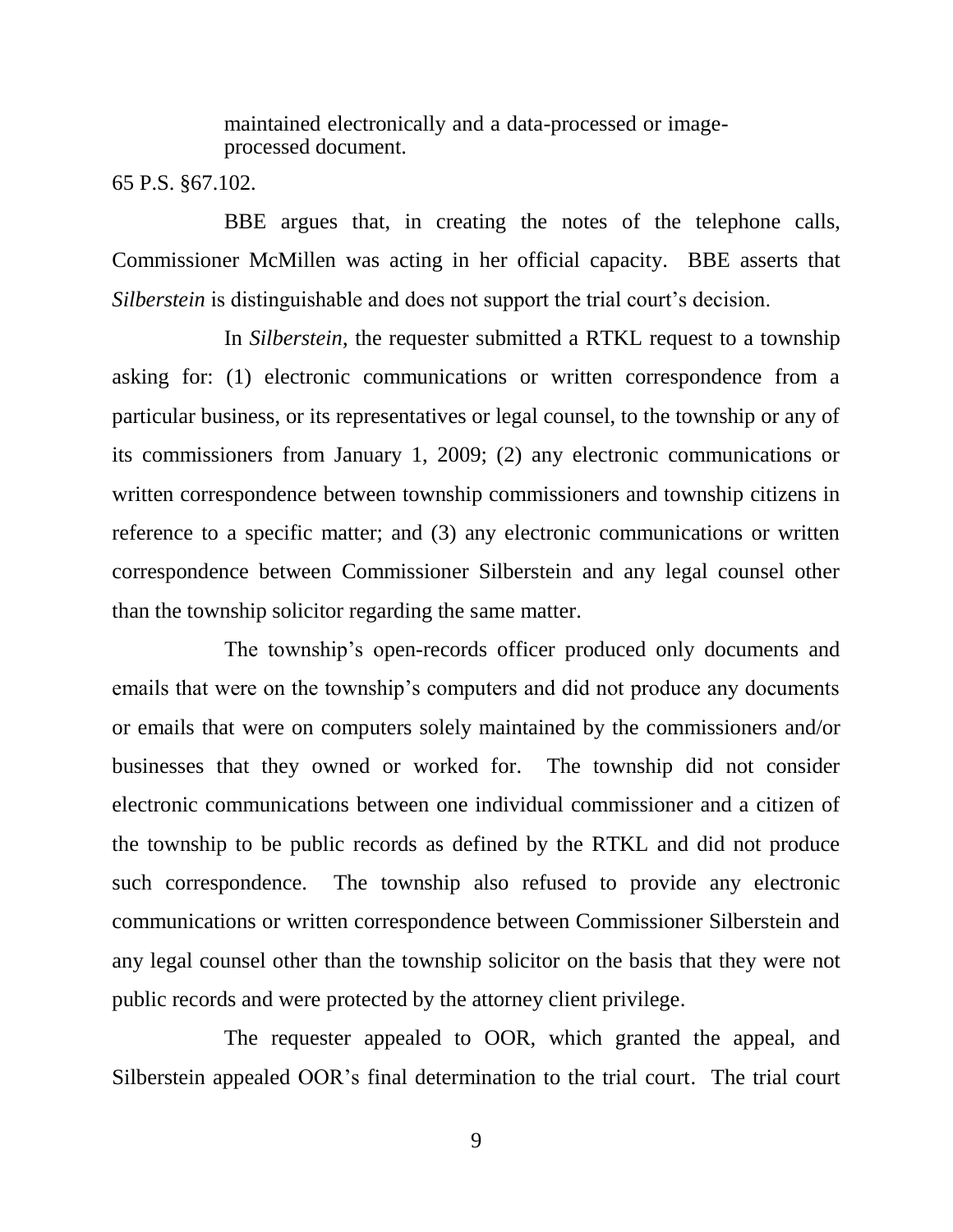maintained electronically and a data-processed or imageprocessed document.

65 P.S. §67.102.

BBE argues that, in creating the notes of the telephone calls, Commissioner McMillen was acting in her official capacity. BBE asserts that *Silberstein* is distinguishable and does not support the trial court's decision.

In *Silberstein*, the requester submitted a RTKL request to a township asking for: (1) electronic communications or written correspondence from a particular business, or its representatives or legal counsel, to the township or any of its commissioners from January 1, 2009; (2) any electronic communications or written correspondence between township commissioners and township citizens in reference to a specific matter; and (3) any electronic communications or written correspondence between Commissioner Silberstein and any legal counsel other than the township solicitor regarding the same matter.

The township's open-records officer produced only documents and emails that were on the township's computers and did not produce any documents or emails that were on computers solely maintained by the commissioners and/or businesses that they owned or worked for. The township did not consider electronic communications between one individual commissioner and a citizen of the township to be public records as defined by the RTKL and did not produce such correspondence. The township also refused to provide any electronic communications or written correspondence between Commissioner Silberstein and any legal counsel other than the township solicitor on the basis that they were not public records and were protected by the attorney client privilege.

The requester appealed to OOR, which granted the appeal, and Silberstein appealed OOR's final determination to the trial court. The trial court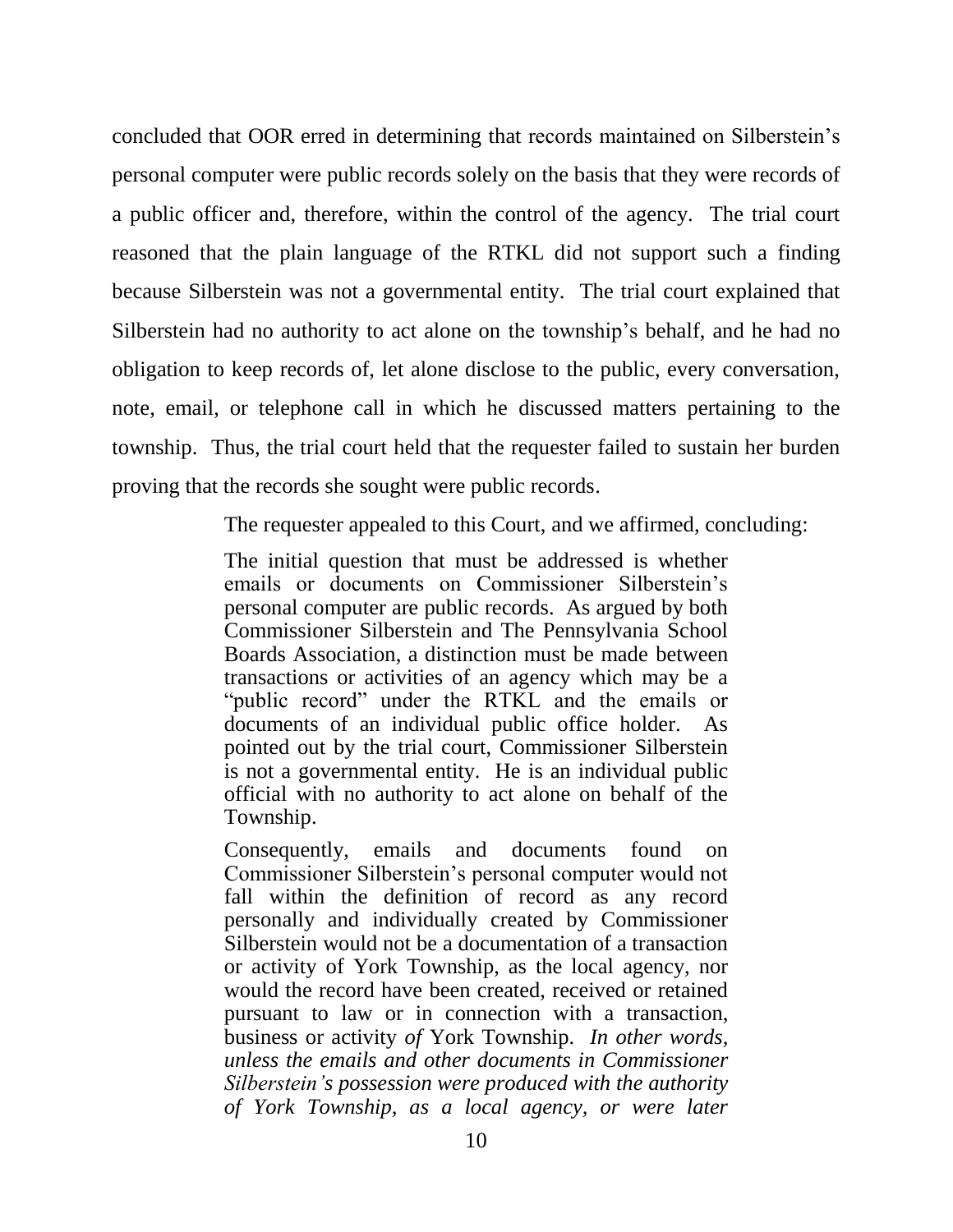concluded that OOR erred in determining that records maintained on Silberstein's personal computer were public records solely on the basis that they were records of a public officer and, therefore, within the control of the agency. The trial court reasoned that the plain language of the RTKL did not support such a finding because Silberstein was not a governmental entity. The trial court explained that Silberstein had no authority to act alone on the township's behalf, and he had no obligation to keep records of, let alone disclose to the public, every conversation, note, email, or telephone call in which he discussed matters pertaining to the township. Thus, the trial court held that the requester failed to sustain her burden proving that the records she sought were public records.

The requester appealed to this Court, and we affirmed, concluding:

The initial question that must be addressed is whether emails or documents on Commissioner Silberstein's personal computer are public records. As argued by both Commissioner Silberstein and The Pennsylvania School Boards Association, a distinction must be made between transactions or activities of an agency which may be a "public record" under the RTKL and the emails or documents of an individual public office holder. As pointed out by the trial court, Commissioner Silberstein is not a governmental entity. He is an individual public official with no authority to act alone on behalf of the Township.

Consequently, emails and documents found on Commissioner Silberstein's personal computer would not fall within the definition of record as any record personally and individually created by Commissioner Silberstein would not be a documentation of a transaction or activity of York Township, as the local agency, nor would the record have been created, received or retained pursuant to law or in connection with a transaction, business or activity *of* York Township. *In other words, unless the emails and other documents in Commissioner Silberstein's possession were produced with the authority of York Township, as a local agency, or were later*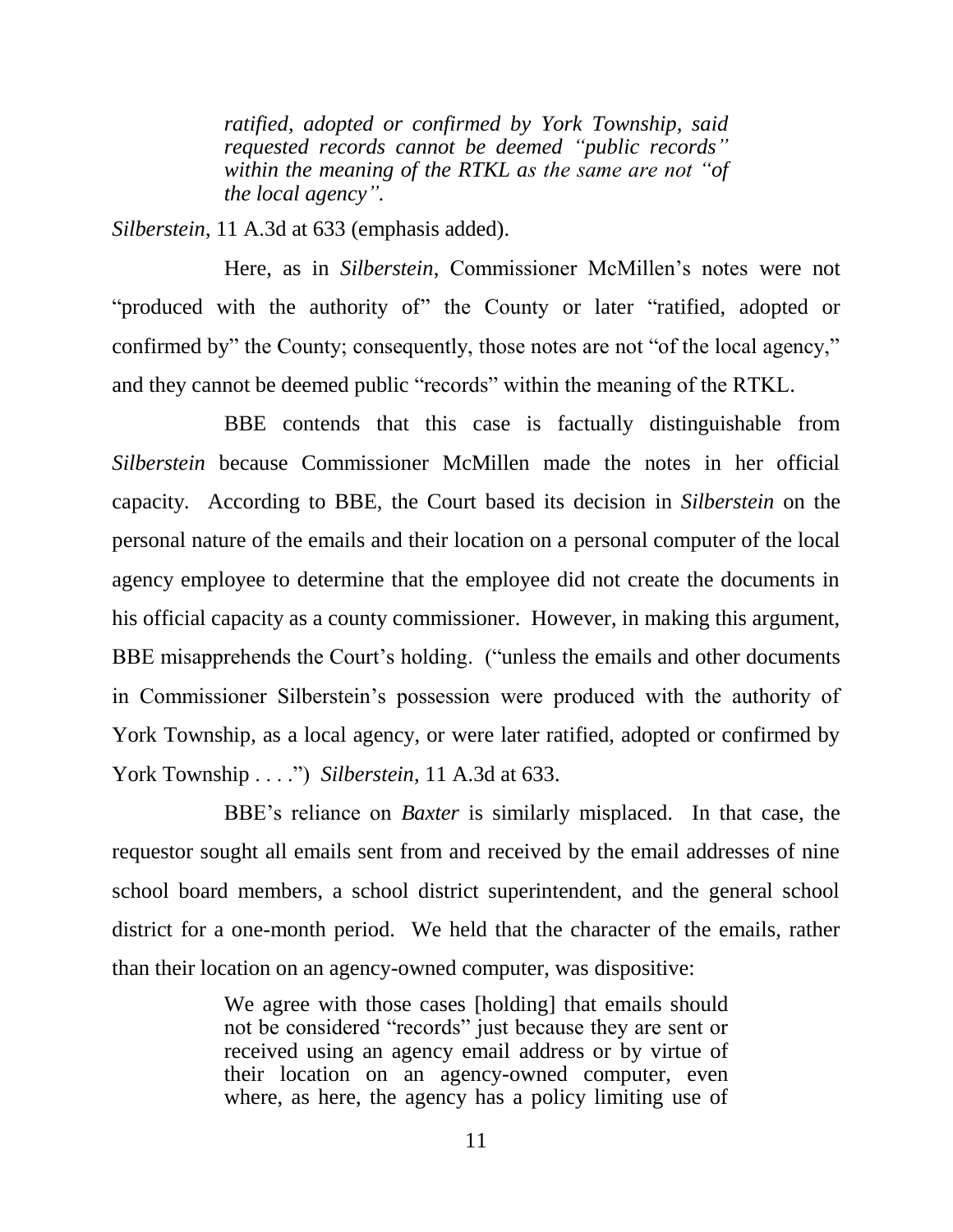*ratified, adopted or confirmed by York Township, said requested records cannot be deemed "public records" within the meaning of the RTKL as the same are not "of the local agency".*

*Silberstein*, 11 A.3d at 633 (emphasis added).

Here, as in *Silberstein*, Commissioner McMillen's notes were not "produced with the authority of" the County or later "ratified, adopted or confirmed by" the County; consequently, those notes are not "of the local agency," and they cannot be deemed public "records" within the meaning of the RTKL.

BBE contends that this case is factually distinguishable from *Silberstein* because Commissioner McMillen made the notes in her official capacity*.* According to BBE, the Court based its decision in *Silberstein* on the personal nature of the emails and their location on a personal computer of the local agency employee to determine that the employee did not create the documents in his official capacity as a county commissioner. However, in making this argument, BBE misapprehends the Court's holding. ("unless the emails and other documents in Commissioner Silberstein's possession were produced with the authority of York Township, as a local agency, or were later ratified, adopted or confirmed by York Township . . . .") *Silberstein*, 11 A.3d at 633.

BBE's reliance on *Baxter* is similarly misplaced.In that case, the requestor sought all emails sent from and received by the email addresses of nine school board members, a school district superintendent, and the general school district for a one-month period. We held that the character of the emails, rather than their location on an agency-owned computer, was dispositive:

> We agree with those cases [holding] that emails should not be considered "records" just because they are sent or received using an agency email address or by virtue of their location on an agency-owned computer, even where, as here, the agency has a policy limiting use of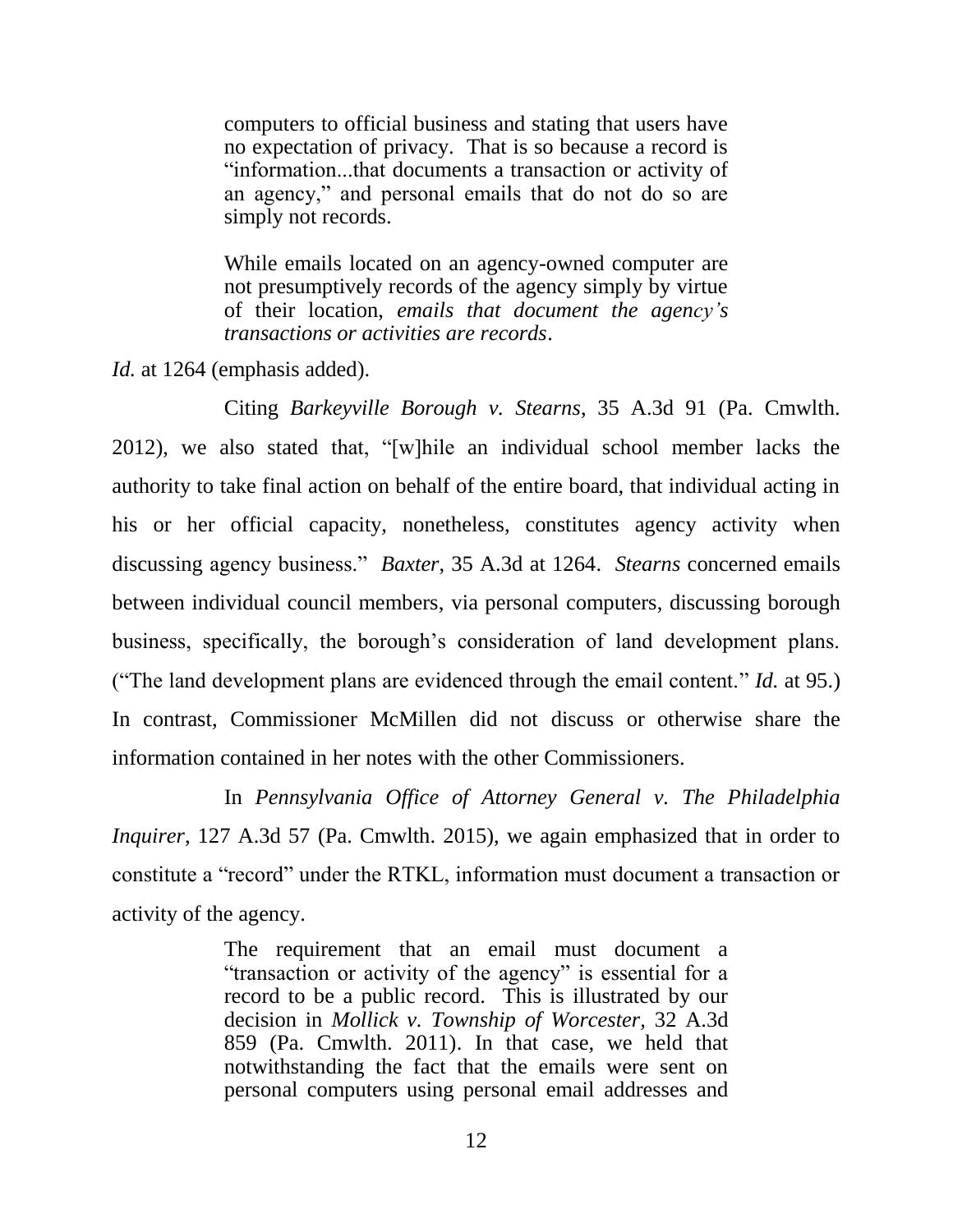computers to official business and stating that users have no expectation of privacy. That is so because a record is "information...that documents a transaction or activity of an agency," and personal emails that do not do so are simply not records.

While emails located on an agency-owned computer are not presumptively records of the agency simply by virtue of their location, *emails that document the agency's transactions or activities are records*.

*Id.* at 1264 (emphasis added).

Citing *Barkeyville Borough v. Stearns*, 35 A.3d 91 (Pa. Cmwlth. 2012), we also stated that, "[w]hile an individual school member lacks the authority to take final action on behalf of the entire board, that individual acting in his or her official capacity, nonetheless, constitutes agency activity when discussing agency business." *Baxter*, 35 A.3d at 1264. *Stearns* concerned emails between individual council members, via personal computers, discussing borough business, specifically, the borough's consideration of land development plans. ("The land development plans are evidenced through the email content." *Id.* at 95.) In contrast, Commissioner McMillen did not discuss or otherwise share the information contained in her notes with the other Commissioners.

In *Pennsylvania Office of Attorney General v. The Philadelphia Inquirer*, 127 A.3d 57 (Pa. Cmwlth. 2015), we again emphasized that in order to constitute a "record" under the RTKL, information must document a transaction or activity of the agency.

> The requirement that an email must document a "transaction or activity of the agency" is essential for a record to be a public record. This is illustrated by our decision in *Mollick v. Township of Worcester,* 32 A.3d 859 (Pa. Cmwlth. 2011). In that case, we held that notwithstanding the fact that the emails were sent on personal computers using personal email addresses and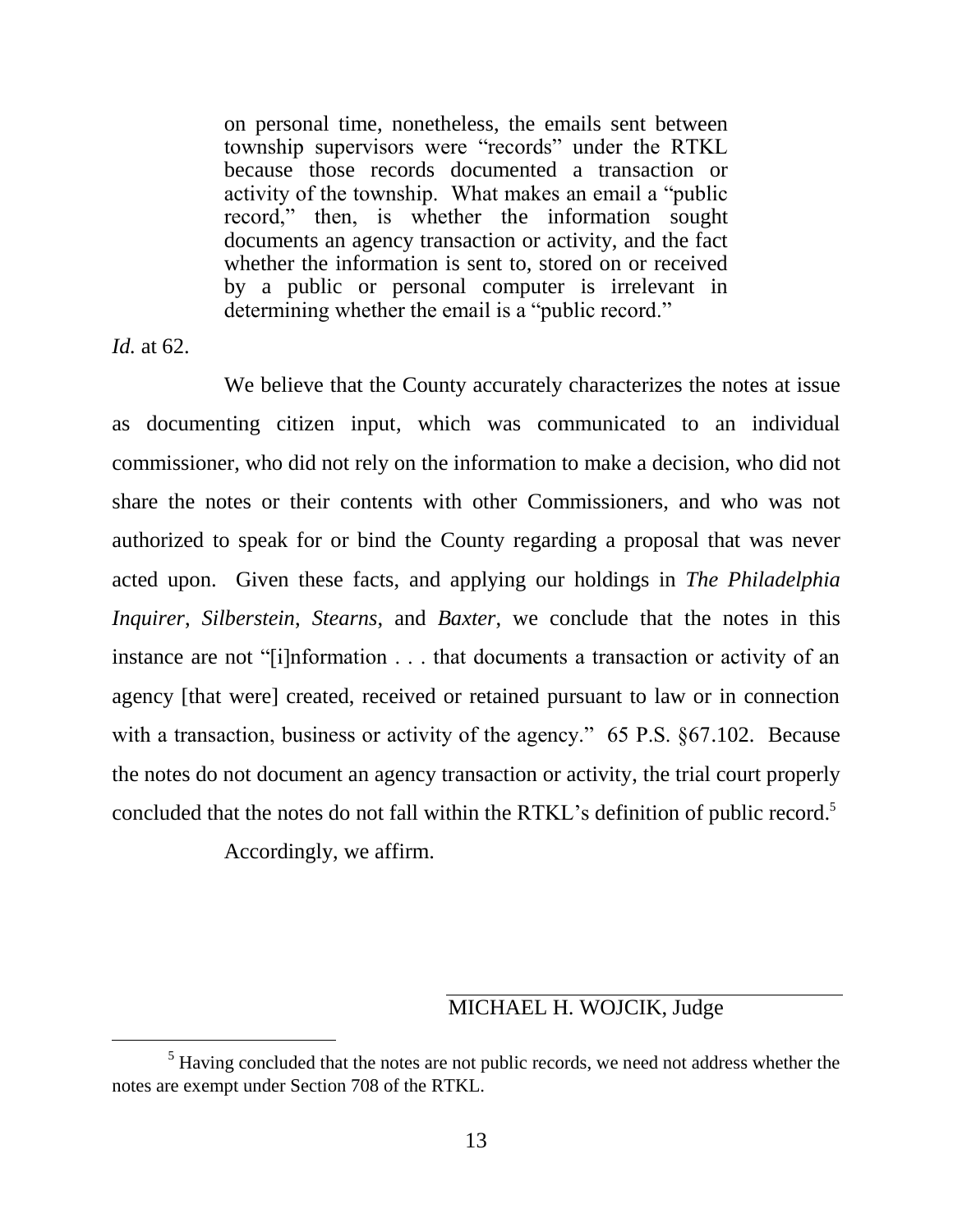on personal time, nonetheless, the emails sent between township supervisors were "records" under the RTKL because those records documented a transaction or activity of the township. What makes an email a "public record," then, is whether the information sought documents an agency transaction or activity, and the fact whether the information is sent to, stored on or received by a public or personal computer is irrelevant in determining whether the email is a "public record."

*Id.* at 62.

 $\overline{a}$ 

We believe that the County accurately characterizes the notes at issue as documenting citizen input, which was communicated to an individual commissioner, who did not rely on the information to make a decision, who did not share the notes or their contents with other Commissioners, and who was not authorized to speak for or bind the County regarding a proposal that was never acted upon. Given these facts, and applying our holdings in *The Philadelphia Inquirer*, *Silberstein*, *Stearns*, and *Baxter*, we conclude that the notes in this instance are not "[i]nformation . . . that documents a transaction or activity of an agency [that were] created, received or retained pursuant to law or in connection with a transaction, business or activity of the agency." 65 P.S.  $\S67.102$ . Because the notes do not document an agency transaction or activity, the trial court properly concluded that the notes do not fall within the RTKL's definition of public record. 5

Accordingly, we affirm.

### MICHAEL H. WOJCIK, Judge

<sup>&</sup>lt;sup>5</sup> Having concluded that the notes are not public records, we need not address whether the notes are exempt under Section 708 of the RTKL.